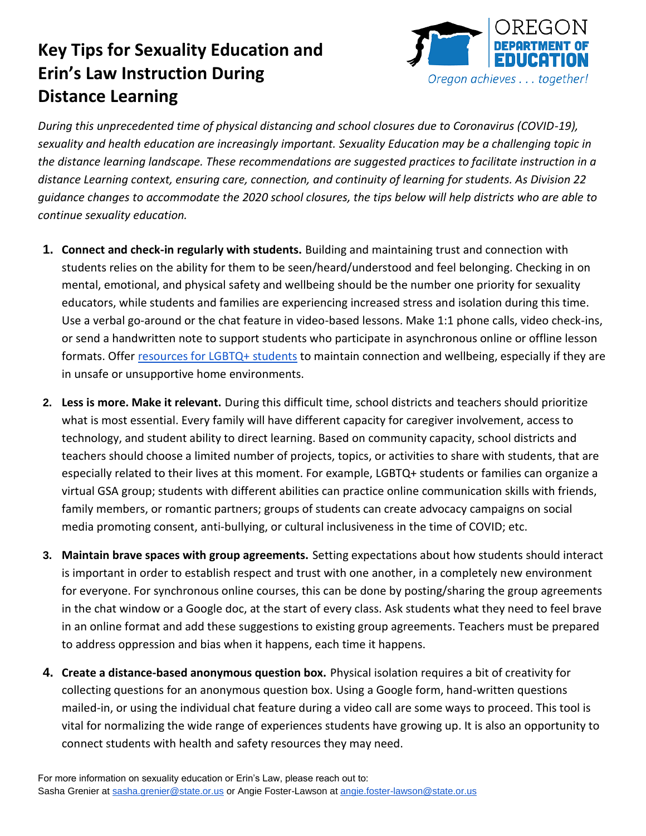## **Key Tips for Sexuality Education and Erin's Law Instruction During Distance Learning**



 *During this unprecedented time of physical distancing and school closures due to Coronavirus (COVID-19), sexuality and health education are increasingly important. Sexuality Education may be a challenging topic in the distance learning landscape. These recommendations are suggested practices to facilitate instruction in a distance Learning context, ensuring care, connection, and continuity of learning for students. As Division 22 guidance changes to accommodate the 2020 school closures, the tips below will help districts who are able to continue sexuality education.* 

- **1. Connect and check-in regularly with students.** Building and maintaining trust and connection with students relies on the ability for them to be seen/heard/understood and feel belonging. Checking in on mental, emotional, and physical safety and wellbeing should be the number one priority for sexuality educators, while students and families are experiencing increased stress and isolation during this time. Use a verbal go-around or the chat feature in video-based lessons. Make 1:1 phone calls, video check-ins, or send a handwritten note to support students who participate in asynchronous online or offline lesson formats. Offer *resources for LGBTQ+ students* to maintain connection and wellbeing, especially if they are in unsafe or unsupportive home environments.
- **2. Less is more. Make it relevant.** During this difficult time, school districts and teachers should prioritize what is most essential. Every family will have different capacity for caregiver involvement, access to technology, and student ability to direct learning. Based on community capacity, school districts and teachers should choose a limited number of projects, topics, or activities to share with students, that are especially related to their lives at this moment. For example, LGBTQ+ students or families can organize a virtual GSA group; students with different abilities can practice online communication skills with friends, family members, or romantic partners; groups of students can create advocacy campaigns on social media promoting consent, anti-bullying, or cultural inclusiveness in the time of COVID; etc.
- **3. Maintain brave spaces with group agreements.** Setting expectations about how students should interact is important in order to establish respect and trust with one another, in a completely new environment for everyone. For synchronous online courses, this can be done by posting/sharing the group agreements in the chat window or a Google doc, at the start of every class. Ask students what they need to feel brave in an online format and add these suggestions to existing group agreements. Teachers must be prepared to address oppression and bias when it happens, each time it happens.
- collecting questions for an anonymous question box. Using a Google form, hand-written questions mailed-in, or using the individual chat feature during a video call are some ways to proceed. This tool is vital for normalizing the wide range of experiences students have growing up. It is also an opportunity to connect students with health and safety resources they may need. **4. Create a distance-based anonymous question box.** Physical isolation requires a bit of creativity for